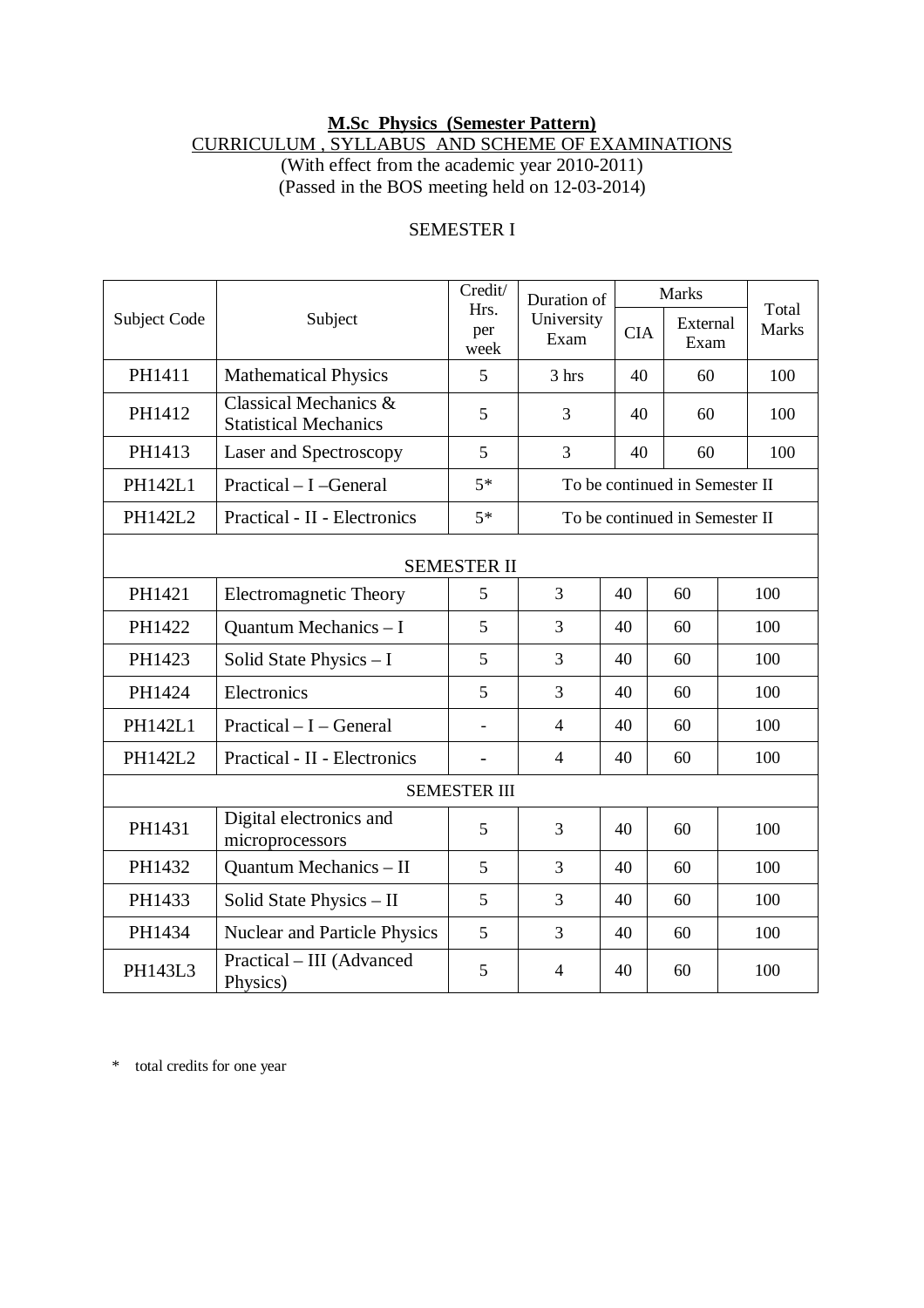## **M.Sc Physics (Semester Pattern)** CURRICULUM , SYLLABUS AND SCHEME OF EXAMINATIONS

(With effect from the academic year 2010-2011) (Passed in the BOS meeting held on 12-03-2014)

| Subject Code        | Subject                                               | Credit/<br>Hrs.<br>per<br>week | Duration of<br>University<br>Exam |            | <b>Marks</b>     |  |                       |  |  |  |  |
|---------------------|-------------------------------------------------------|--------------------------------|-----------------------------------|------------|------------------|--|-----------------------|--|--|--|--|
|                     |                                                       |                                |                                   | <b>CIA</b> | External<br>Exam |  | Total<br><b>Marks</b> |  |  |  |  |
| PH1411              | <b>Mathematical Physics</b>                           | 5                              | 3 hrs                             | 40         | 60               |  | 100                   |  |  |  |  |
| PH1412              | Classical Mechanics &<br><b>Statistical Mechanics</b> | 5                              | 3                                 | 40         | 60               |  | 100                   |  |  |  |  |
| PH1413              | Laser and Spectroscopy                                | 5                              | 3                                 | 40         | 60               |  | 100                   |  |  |  |  |
| <b>PH142L1</b>      | Practical - I -General                                | $5*$                           | To be continued in Semester II    |            |                  |  |                       |  |  |  |  |
| PH142L2             | Practical - II - Electronics                          | $5*$                           | To be continued in Semester II    |            |                  |  |                       |  |  |  |  |
| <b>SEMESTER II</b>  |                                                       |                                |                                   |            |                  |  |                       |  |  |  |  |
| PH1421              | <b>Electromagnetic Theory</b>                         | 5                              | 3                                 | 40         | 60               |  | 100                   |  |  |  |  |
| PH1422              | Quantum Mechanics - I                                 | 5                              | 3                                 | 40         | 60               |  | 100                   |  |  |  |  |
| PH1423              | Solid State Physics - I                               | 5                              | 3                                 | 40         | 60               |  | 100                   |  |  |  |  |
| PH1424              | Electronics                                           | 5                              | 3                                 | 40         | 60               |  | 100                   |  |  |  |  |
| PH142L1             | $Practical - I - General$                             |                                | $\overline{4}$                    | 40         | 60               |  | 100                   |  |  |  |  |
| PH142L2             | Practical - II - Electronics                          | $\overline{a}$                 | $\overline{4}$                    | 40         | 60               |  | 100                   |  |  |  |  |
| <b>SEMESTER III</b> |                                                       |                                |                                   |            |                  |  |                       |  |  |  |  |
| PH1431              | Digital electronics and<br>microprocessors            | 5                              | 3                                 | 40         | 60               |  | 100                   |  |  |  |  |
| PH1432              | Quantum Mechanics - II                                | 5                              | 3                                 | 40         | 60               |  | 100                   |  |  |  |  |
| PH1433              | Solid State Physics - II                              | 5                              | 3                                 | 40         | 60               |  | 100                   |  |  |  |  |
| PH1434              | <b>Nuclear and Particle Physics</b>                   | 5                              | 3                                 | 40         | 60               |  | 100                   |  |  |  |  |
| PH143L3             | Practical - III (Advanced<br>Physics)                 | 5                              | $\overline{4}$                    | 40         | 60               |  | 100                   |  |  |  |  |

## SEMESTER I

\* total credits for one year